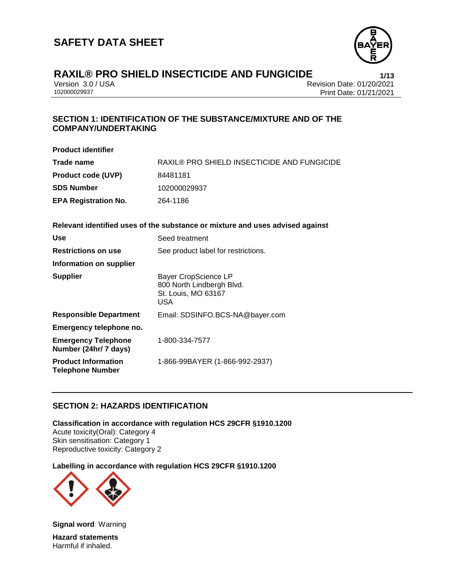

Version 3.0 / USA Revision Date: 01/20/2021<br>102000029937<br>Print Date: 01/21/2021 Print Date: 01/21/2021

# **SECTION 1: IDENTIFICATION OF THE SUBSTANCE/MIXTURE AND OF THE COMPANY/UNDERTAKING**

| <b>Product identifier</b>                             |                                                                                 |
|-------------------------------------------------------|---------------------------------------------------------------------------------|
| Trade name                                            | <b>RAXIL® PRO SHIELD INSECTICIDE AND FUNGICIDE</b>                              |
| <b>Product code (UVP)</b>                             | 84481181                                                                        |
| <b>SDS Number</b>                                     | 102000029937                                                                    |
| <b>EPA Registration No.</b>                           | 264-1186                                                                        |
|                                                       | Relevant identified uses of the substance or mixture and uses advised against   |
| Use                                                   | Seed treatment                                                                  |
| <b>Restrictions on use</b>                            | See product label for restrictions.                                             |
| <b>Information on supplier</b>                        |                                                                                 |
| Supplier                                              | Bayer CropScience LP<br>800 North Lindbergh Blvd.<br>St. Louis, MO 63167<br>USA |
| <b>Responsible Department</b>                         | Email: SDSINFO.BCS-NA@bayer.com                                                 |
| Emergency telephone no.                               |                                                                                 |
| <b>Emergency Telephone</b><br>Number (24hr/ 7 days)   | 1-800-334-7577                                                                  |
| <b>Product Information</b><br><b>Telephone Number</b> | 1-866-99BAYER (1-866-992-2937)                                                  |
|                                                       |                                                                                 |

# **SECTION 2: HAZARDS IDENTIFICATION**

**Classification in accordance with regulation HCS 29CFR §1910.1200** Acute toxicity(Oral): Category 4 Skin sensitisation: Category 1 Reproductive toxicity: Category 2

#### **Labelling in accordance with regulation HCS 29CFR §1910.1200**



**Signal word**: Warning **Hazard statements** Harmful if inhaled.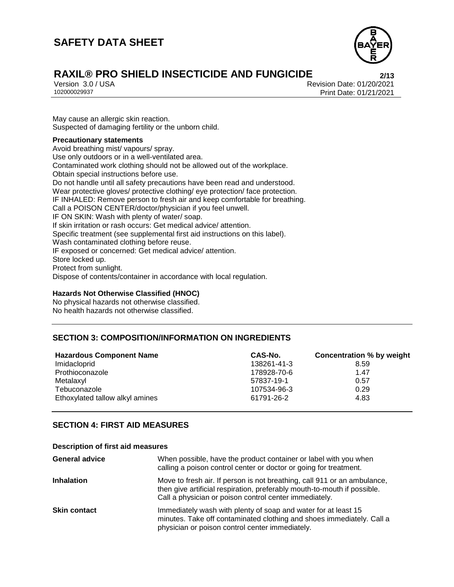# **SAFETY DATA SHEET**



# **RAXIL® PRO SHIELD INSECTICIDE AND FUNGICIDE**<br>
Version 3.0/USA<br>
Revision Date: 01/20/2021

Version 3.0 / USA Revision Date: 01/20/2021 Print Date: 01/21/2021

May cause an allergic skin reaction. Suspected of damaging fertility or the unborn child.

#### **Precautionary statements**

Avoid breathing mist/ vapours/ spray. Use only outdoors or in a well-ventilated area. Contaminated work clothing should not be allowed out of the workplace. Obtain special instructions before use. Do not handle until all safety precautions have been read and understood. Wear protective gloves/ protective clothing/ eye protection/ face protection. IF INHALED: Remove person to fresh air and keep comfortable for breathing. Call a POISON CENTER/doctor/physician if you feel unwell. IF ON SKIN: Wash with plenty of water/ soap. If skin irritation or rash occurs: Get medical advice/ attention. Specific treatment (see supplemental first aid instructions on this label). Wash contaminated clothing before reuse. IF exposed or concerned: Get medical advice/ attention. Store locked up. Protect from sunlight. Dispose of contents/container in accordance with local regulation.

#### **Hazards Not Otherwise Classified (HNOC)**

No physical hazards not otherwise classified. No health hazards not otherwise classified.

# **SECTION 3: COMPOSITION/INFORMATION ON INGREDIENTS**

| <b>Hazardous Component Name</b> | CAS-No.     | <b>Concentration % by weight</b> |
|---------------------------------|-------------|----------------------------------|
| Imidacloprid                    | 138261-41-3 | 8.59                             |
| Prothioconazole                 | 178928-70-6 | 1.47                             |
| Metalaxyl                       | 57837-19-1  | 0.57                             |
| Tebuconazole                    | 107534-96-3 | 0.29                             |
| Ethoxylated tallow alkyl amines | 61791-26-2  | 4.83                             |

# **SECTION 4: FIRST AID MEASURES**

#### **Description of first aid measures**

| <b>General advice</b> | When possible, have the product container or label with you when<br>calling a poison control center or doctor or going for treatment.                                                                          |
|-----------------------|----------------------------------------------------------------------------------------------------------------------------------------------------------------------------------------------------------------|
| <b>Inhalation</b>     | Move to fresh air. If person is not breathing, call 911 or an ambulance,<br>then give artificial respiration, preferably mouth-to-mouth if possible.<br>Call a physician or poison control center immediately. |
| <b>Skin contact</b>   | Immediately wash with plenty of soap and water for at least 15<br>minutes. Take off contaminated clothing and shoes immediately. Call a<br>physician or poison control center immediately.                     |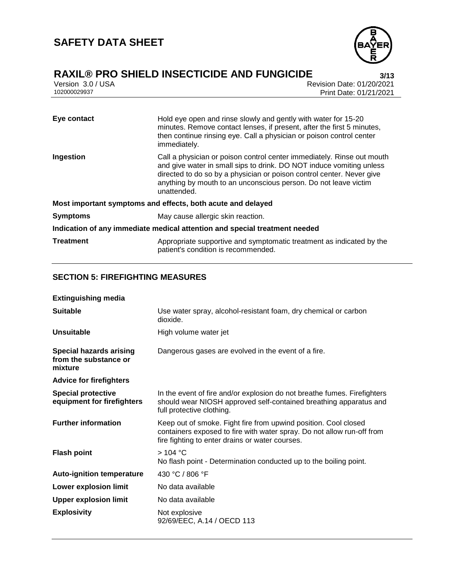

Version 3.0 / USA Revision Date: 01/20/2021<br>102000029937 Print Date: 01/21/2021 Print Date: 01/21/2021

| Eye contact                                                                | Hold eye open and rinse slowly and gently with water for 15-20<br>minutes. Remove contact lenses, if present, after the first 5 minutes,<br>then continue rinsing eye. Call a physician or poison control center<br>immediately.                                                                          |  |
|----------------------------------------------------------------------------|-----------------------------------------------------------------------------------------------------------------------------------------------------------------------------------------------------------------------------------------------------------------------------------------------------------|--|
| Ingestion                                                                  | Call a physician or poison control center immediately. Rinse out mouth<br>and give water in small sips to drink. DO NOT induce vomiting unless<br>directed to do so by a physician or poison control center. Never give<br>anything by mouth to an unconscious person. Do not leave victim<br>unattended. |  |
| Most important symptoms and effects, both acute and delayed                |                                                                                                                                                                                                                                                                                                           |  |
| <b>Symptoms</b>                                                            | May cause allergic skin reaction.                                                                                                                                                                                                                                                                         |  |
| Indication of any immediate medical attention and special treatment needed |                                                                                                                                                                                                                                                                                                           |  |
| <b>Treatment</b>                                                           | Appropriate supportive and symptomatic treatment as indicated by the<br>patient's condition is recommended.                                                                                                                                                                                               |  |

# **SECTION 5: FIREFIGHTING MEASURES**

| <b>Extinguishing media</b>                                         |                                                                                                                                                                                              |
|--------------------------------------------------------------------|----------------------------------------------------------------------------------------------------------------------------------------------------------------------------------------------|
| <b>Suitable</b>                                                    | Use water spray, alcohol-resistant foam, dry chemical or carbon<br>dioxide.                                                                                                                  |
| <b>Unsuitable</b>                                                  | High volume water jet                                                                                                                                                                        |
| <b>Special hazards arising</b><br>from the substance or<br>mixture | Dangerous gases are evolved in the event of a fire.                                                                                                                                          |
| <b>Advice for firefighters</b>                                     |                                                                                                                                                                                              |
| <b>Special protective</b><br>equipment for firefighters            | In the event of fire and/or explosion do not breathe fumes. Firefighters<br>should wear NIOSH approved self-contained breathing apparatus and<br>full protective clothing.                   |
| <b>Further information</b>                                         | Keep out of smoke. Fight fire from upwind position. Cool closed<br>containers exposed to fire with water spray. Do not allow run-off from<br>fire fighting to enter drains or water courses. |
| <b>Flash point</b>                                                 | >104 °C<br>No flash point - Determination conducted up to the boiling point.                                                                                                                 |
| <b>Auto-ignition temperature</b>                                   | 430 °C / 806 °F                                                                                                                                                                              |
| Lower explosion limit                                              | No data available                                                                                                                                                                            |
| <b>Upper explosion limit</b>                                       | No data available                                                                                                                                                                            |
| <b>Explosivity</b>                                                 | Not explosive<br>92/69/EEC, A.14 / OECD 113                                                                                                                                                  |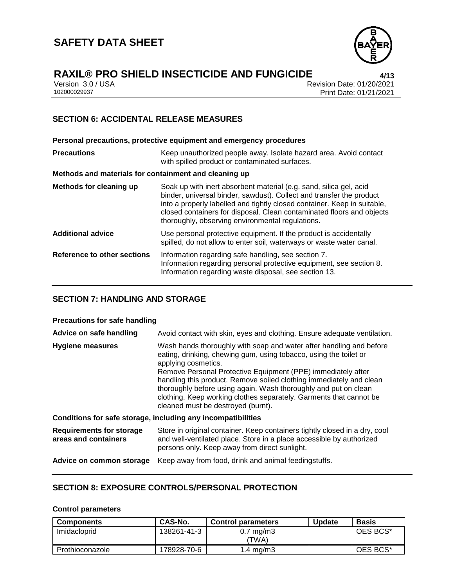

# **RAXIL® PRO SHIELD INSECTICIDE AND FUNGICIDE 4/13**

Version 3.0 / USA Revision Date: 01/20/2021<br>102000029937 Print Date: 01/21/2021 Print Date: 01/21/2021

# **SECTION 6: ACCIDENTAL RELEASE MEASURES**

**Personal precautions, protective equipment and emergency procedures Precautions Keep unauthorized people away. Isolate hazard area. Avoid contact** with spilled product or contaminated surfaces. **Methods and materials for containment and cleaning up Methods for cleaning up** Soak up with inert absorbent material (e.g. sand, silica gel, acid binder, universal binder, sawdust). Collect and transfer the product into a properly labelled and tightly closed container. Keep in suitable, closed containers for disposal. Clean contaminated floors and objects thoroughly, observing environmental regulations. **Additional advice** Use personal protective equipment. If the product is accidentally spilled, do not allow to enter soil, waterways or waste water canal. **Reference to other sections** Information regarding safe handling, see section 7. Information regarding personal protective equipment, see section 8. Information regarding waste disposal, see section 13.

# **SECTION 7: HANDLING AND STORAGE**

#### **Precautions for safe handling**

| Advice on safe handling                                 | Avoid contact with skin, eyes and clothing. Ensure adequate ventilation.                                                                                                                                                                                                                                                                                                                                                                                                              |  |
|---------------------------------------------------------|---------------------------------------------------------------------------------------------------------------------------------------------------------------------------------------------------------------------------------------------------------------------------------------------------------------------------------------------------------------------------------------------------------------------------------------------------------------------------------------|--|
| <b>Hygiene measures</b>                                 | Wash hands thoroughly with soap and water after handling and before<br>eating, drinking, chewing gum, using tobacco, using the toilet or<br>applying cosmetics.<br>Remove Personal Protective Equipment (PPE) immediately after<br>handling this product. Remove soiled clothing immediately and clean<br>thoroughly before using again. Wash thoroughly and put on clean<br>clothing. Keep working clothes separately. Garments that cannot be<br>cleaned must be destroyed (burnt). |  |
|                                                         | Conditions for safe storage, including any incompatibilities                                                                                                                                                                                                                                                                                                                                                                                                                          |  |
| <b>Requirements for storage</b><br>areas and containers | Store in original container. Keep containers tightly closed in a dry, cool<br>and well-ventilated place. Store in a place accessible by authorized<br>persons only. Keep away from direct sunlight.                                                                                                                                                                                                                                                                                   |  |
| Advice on common storage                                | Keep away from food, drink and animal feedingstuffs.                                                                                                                                                                                                                                                                                                                                                                                                                                  |  |

### **SECTION 8: EXPOSURE CONTROLS/PERSONAL PROTECTION**

#### **Control parameters**

| <b>Components</b> | CAS-No.     | <b>Control parameters</b>     | <b>Update</b> | <b>Basis</b> |
|-------------------|-------------|-------------------------------|---------------|--------------|
| Imidacloprid      | 138261-41-3 | $0.7 \text{ mg/m}$ 3<br>'TWA) |               | OES BCS*     |
| Prothioconazole   | 178928-70-6 | $1.4 \text{ ma/m}$ 3          |               | OES BCS*     |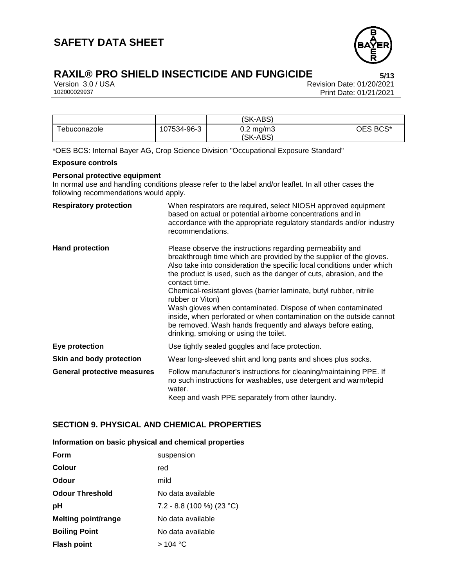

Version 3.0 / USA Revision Date: 01/20/2021<br>102000029937 Print Date: 01/21/2021 Print Date: 01/21/2021

|              |             | (SK-ABS)                       |          |
|--------------|-------------|--------------------------------|----------|
| ⊺ebuconazole | 107534-96-3 | $0.2 \text{ mg/m}$<br>(SK-ABS) | OES BCS* |

\*OES BCS: Internal Bayer AG, Crop Science Division "Occupational Exposure Standard"

#### **Exposure controls**

#### **Personal protective equipment**

In normal use and handling conditions please refer to the label and/or leaflet. In all other cases the following recommendations would apply.

| <b>Respiratory protection</b>      | When respirators are required, select NIOSH approved equipment<br>based on actual or potential airborne concentrations and in<br>accordance with the appropriate regulatory standards and/or industry<br>recommendations.                                                                                                                                                                                                                                                                                                                                                                                                                   |
|------------------------------------|---------------------------------------------------------------------------------------------------------------------------------------------------------------------------------------------------------------------------------------------------------------------------------------------------------------------------------------------------------------------------------------------------------------------------------------------------------------------------------------------------------------------------------------------------------------------------------------------------------------------------------------------|
| <b>Hand protection</b>             | Please observe the instructions regarding permeability and<br>breakthrough time which are provided by the supplier of the gloves.<br>Also take into consideration the specific local conditions under which<br>the product is used, such as the danger of cuts, abrasion, and the<br>contact time.<br>Chemical-resistant gloves (barrier laminate, butyl rubber, nitrile<br>rubber or Viton)<br>Wash gloves when contaminated. Dispose of when contaminated<br>inside, when perforated or when contamination on the outside cannot<br>be removed. Wash hands frequently and always before eating,<br>drinking, smoking or using the toilet. |
| <b>Eye protection</b>              | Use tightly sealed goggles and face protection.                                                                                                                                                                                                                                                                                                                                                                                                                                                                                                                                                                                             |
| Skin and body protection           | Wear long-sleeved shirt and long pants and shoes plus socks.                                                                                                                                                                                                                                                                                                                                                                                                                                                                                                                                                                                |
| <b>General protective measures</b> | Follow manufacturer's instructions for cleaning/maintaining PPE. If<br>no such instructions for washables, use detergent and warm/tepid<br>water.<br>Keep and wash PPE separately from other laundry.                                                                                                                                                                                                                                                                                                                                                                                                                                       |

# **SECTION 9. PHYSICAL AND CHEMICAL PROPERTIES**

#### **Information on basic physical and chemical properties**

| <b>Form</b>                | suspension                  |
|----------------------------|-----------------------------|
| Colour                     | red                         |
| Odour                      | mild                        |
| <b>Odour Threshold</b>     | No data available           |
| рH                         | $7.2 - 8.8$ (100 %) (23 °C) |
| <b>Melting point/range</b> | No data available           |
| <b>Boiling Point</b>       | No data available           |
| <b>Flash point</b>         | > 104 °C                    |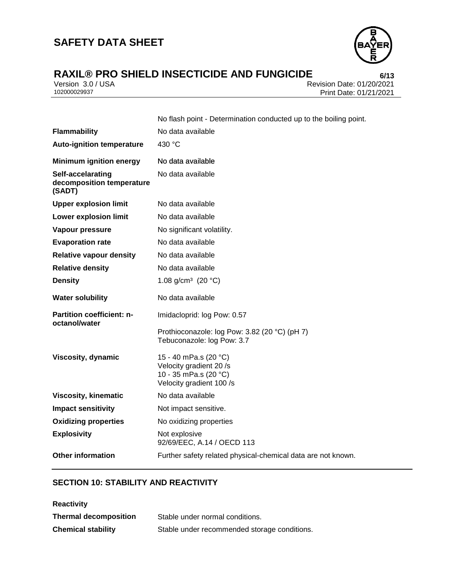

# **RAXIL® PRO SHIELD INSECTICIDE AND FUNGICIDE**<br>**1/20/2021 Revision Date: 01/20/2021**

Version 3.0 / USA Revision Date: 01/20/2021<br>102000029937 Print Date: 01/21/2021 Print Date: 01/21/2021

|                                                          | No flash point - Determination conducted up to the boiling point.                                     |  |
|----------------------------------------------------------|-------------------------------------------------------------------------------------------------------|--|
| <b>Flammability</b>                                      | No data available                                                                                     |  |
| <b>Auto-ignition temperature</b>                         | 430 °C                                                                                                |  |
| <b>Minimum ignition energy</b>                           | No data available                                                                                     |  |
| Self-accelarating<br>decomposition temperature<br>(SADT) | No data available                                                                                     |  |
| <b>Upper explosion limit</b>                             | No data available                                                                                     |  |
| <b>Lower explosion limit</b>                             | No data available                                                                                     |  |
| Vapour pressure                                          | No significant volatility.                                                                            |  |
| <b>Evaporation rate</b>                                  | No data available                                                                                     |  |
| <b>Relative vapour density</b>                           | No data available                                                                                     |  |
| <b>Relative density</b>                                  | No data available                                                                                     |  |
| <b>Density</b>                                           | 1.08 g/cm <sup>3</sup> (20 $^{\circ}$ C)                                                              |  |
| <b>Water solubility</b>                                  | No data available                                                                                     |  |
| <b>Partition coefficient: n-</b><br>octanol/water        | Imidacloprid: log Pow: 0.57                                                                           |  |
|                                                          | Prothioconazole: log Pow: 3.82 (20 °C) (pH 7)<br>Tebuconazole: log Pow: 3.7                           |  |
| Viscosity, dynamic                                       | 15 - 40 mPa.s (20 °C)<br>Velocity gradient 20 /s<br>10 - 35 mPa.s (20 °C)<br>Velocity gradient 100 /s |  |
| <b>Viscosity, kinematic</b>                              | No data available                                                                                     |  |
| <b>Impact sensitivity</b>                                | Not impact sensitive.                                                                                 |  |
| <b>Oxidizing properties</b>                              | No oxidizing properties                                                                               |  |
| <b>Explosivity</b>                                       | Not explosive<br>92/69/EEC, A.14 / OECD 113                                                           |  |
| <b>Other information</b>                                 | Further safety related physical-chemical data are not known.                                          |  |

# **SECTION 10: STABILITY AND REACTIVITY**

| <b>Reactivity</b>            |                                              |
|------------------------------|----------------------------------------------|
| <b>Thermal decomposition</b> | Stable under normal conditions.              |
| <b>Chemical stability</b>    | Stable under recommended storage conditions. |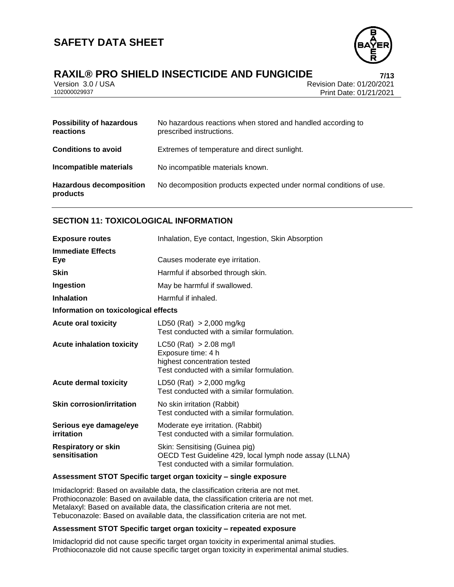

# **RAXIL® PRO SHIELD INSECTICIDE AND FUNGICIDE 7/13**

Version 3.0 / USA Revision Date: 01/20/2021<br>102000029937<br>Print Date: 01/21/2021 Print Date: 01/21/2021

| <b>Possibility of hazardous</b><br>reactions | No hazardous reactions when stored and handled according to<br>prescribed instructions. |
|----------------------------------------------|-----------------------------------------------------------------------------------------|
| <b>Conditions to avoid</b>                   | Extremes of temperature and direct sunlight.                                            |
| Incompatible materials                       | No incompatible materials known.                                                        |
| <b>Hazardous decomposition</b><br>products   | No decomposition products expected under normal conditions of use.                      |

# **SECTION 11: TOXICOLOGICAL INFORMATION**

| <b>Exposure routes</b>                      | Inhalation, Eye contact, Ingestion, Skin Absorption                                                                                    |  |  |
|---------------------------------------------|----------------------------------------------------------------------------------------------------------------------------------------|--|--|
| <b>Immediate Effects</b><br>Eye             | Causes moderate eye irritation.                                                                                                        |  |  |
| <b>Skin</b>                                 | Harmful if absorbed through skin.                                                                                                      |  |  |
| Ingestion                                   | May be harmful if swallowed.                                                                                                           |  |  |
| <b>Inhalation</b>                           | Harmful if inhaled.                                                                                                                    |  |  |
| Information on toxicological effects        |                                                                                                                                        |  |  |
| <b>Acute oral toxicity</b>                  | LD50 (Rat) $> 2,000$ mg/kg<br>Test conducted with a similar formulation.                                                               |  |  |
| <b>Acute inhalation toxicity</b>            | $LC50$ (Rat) $> 2.08$ mg/l<br>Exposure time: 4 h<br>highest concentration tested<br>Test conducted with a similar formulation.         |  |  |
| <b>Acute dermal toxicity</b>                | LD50 (Rat) $> 2,000$ mg/kg<br>Test conducted with a similar formulation.                                                               |  |  |
| <b>Skin corrosion/irritation</b>            | No skin irritation (Rabbit)<br>Test conducted with a similar formulation.                                                              |  |  |
| Serious eye damage/eye<br>irritation        | Moderate eye irritation. (Rabbit)<br>Test conducted with a similar formulation.                                                        |  |  |
| <b>Respiratory or skin</b><br>sensitisation | Skin: Sensitising (Guinea pig)<br>OECD Test Guideline 429, local lymph node assay (LLNA)<br>Test conducted with a similar formulation. |  |  |

#### **Assessment STOT Specific target organ toxicity – single exposure**

Imidacloprid: Based on available data, the classification criteria are not met. Prothioconazole: Based on available data, the classification criteria are not met. Metalaxyl: Based on available data, the classification criteria are not met. Tebuconazole: Based on available data, the classification criteria are not met.

### **Assessment STOT Specific target organ toxicity – repeated exposure**

Imidacloprid did not cause specific target organ toxicity in experimental animal studies. Prothioconazole did not cause specific target organ toxicity in experimental animal studies.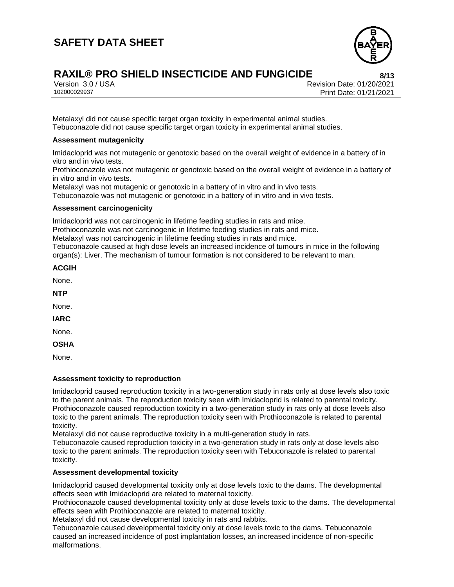

# **RAXIL® PRO SHIELD INSECTICIDE AND FUNGICIDE 8/13**

Version 3.0 / USA Revision Date: 01/20/2021<br>102000029937 Print Date: 01/21/2021 102000029937 Print Date: 01/21/2021

Metalaxyl did not cause specific target organ toxicity in experimental animal studies. Tebuconazole did not cause specific target organ toxicity in experimental animal studies.

#### **Assessment mutagenicity**

Imidacloprid was not mutagenic or genotoxic based on the overall weight of evidence in a battery of in vitro and in vivo tests.

Prothioconazole was not mutagenic or genotoxic based on the overall weight of evidence in a battery of in vitro and in vivo tests.

Metalaxyl was not mutagenic or genotoxic in a battery of in vitro and in vivo tests.

Tebuconazole was not mutagenic or genotoxic in a battery of in vitro and in vivo tests.

#### **Assessment carcinogenicity**

Imidacloprid was not carcinogenic in lifetime feeding studies in rats and mice.

Prothioconazole was not carcinogenic in lifetime feeding studies in rats and mice.

Metalaxyl was not carcinogenic in lifetime feeding studies in rats and mice.

Tebuconazole caused at high dose levels an increased incidence of tumours in mice in the following organ(s): Liver. The mechanism of tumour formation is not considered to be relevant to man.

#### **ACGIH**

None.

**NTP**

None.

**IARC**

None.

**OSHA**

None.

### **Assessment toxicity to reproduction**

Imidacloprid caused reproduction toxicity in a two-generation study in rats only at dose levels also toxic to the parent animals. The reproduction toxicity seen with Imidacloprid is related to parental toxicity. Prothioconazole caused reproduction toxicity in a two-generation study in rats only at dose levels also toxic to the parent animals. The reproduction toxicity seen with Prothioconazole is related to parental toxicity.

Metalaxyl did not cause reproductive toxicity in a multi-generation study in rats.

Tebuconazole caused reproduction toxicity in a two-generation study in rats only at dose levels also toxic to the parent animals. The reproduction toxicity seen with Tebuconazole is related to parental toxicity.

### **Assessment developmental toxicity**

Imidacloprid caused developmental toxicity only at dose levels toxic to the dams. The developmental effects seen with Imidacloprid are related to maternal toxicity.

Prothioconazole caused developmental toxicity only at dose levels toxic to the dams. The developmental effects seen with Prothioconazole are related to maternal toxicity.

Metalaxyl did not cause developmental toxicity in rats and rabbits.

Tebuconazole caused developmental toxicity only at dose levels toxic to the dams. Tebuconazole caused an increased incidence of post implantation losses, an increased incidence of non-specific malformations.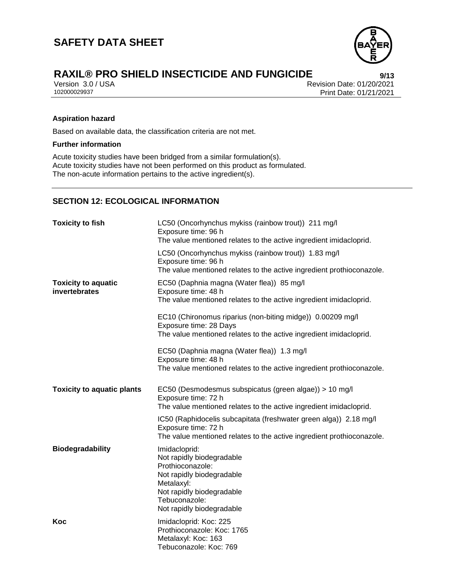

Version 3.0 / USA Revision Date: 01/20/2021<br>102000029937 Print Date: 01/21/2021 Print Date: 01/21/2021

### **Aspiration hazard**

Based on available data, the classification criteria are not met.

#### **Further information**

Acute toxicity studies have been bridged from a similar formulation(s). Acute toxicity studies have not been performed on this product as formulated. The non-acute information pertains to the active ingredient(s).

### **SECTION 12: ECOLOGICAL INFORMATION**

| <b>Toxicity to fish</b>                     | LC50 (Oncorhynchus mykiss (rainbow trout)) 211 mg/l<br>Exposure time: 96 h<br>The value mentioned relates to the active ingredient imidacloprid.                                     |  |
|---------------------------------------------|--------------------------------------------------------------------------------------------------------------------------------------------------------------------------------------|--|
|                                             | LC50 (Oncorhynchus mykiss (rainbow trout)) 1.83 mg/l<br>Exposure time: 96 h<br>The value mentioned relates to the active ingredient prothioconazole.                                 |  |
| <b>Toxicity to aquatic</b><br>invertebrates | EC50 (Daphnia magna (Water flea)) 85 mg/l<br>Exposure time: 48 h<br>The value mentioned relates to the active ingredient imidacloprid.                                               |  |
|                                             | EC10 (Chironomus riparius (non-biting midge)) 0.00209 mg/l<br>Exposure time: 28 Days<br>The value mentioned relates to the active ingredient imidacloprid.                           |  |
|                                             | EC50 (Daphnia magna (Water flea)) 1.3 mg/l<br>Exposure time: 48 h<br>The value mentioned relates to the active ingredient prothioconazole.                                           |  |
| <b>Toxicity to aquatic plants</b>           | EC50 (Desmodesmus subspicatus (green algae)) > 10 mg/l<br>Exposure time: 72 h<br>The value mentioned relates to the active ingredient imidacloprid.                                  |  |
|                                             | IC50 (Raphidocelis subcapitata (freshwater green alga)) 2.18 mg/l<br>Exposure time: 72 h<br>The value mentioned relates to the active ingredient prothioconazole.                    |  |
| Biodegradability                            | Imidacloprid:<br>Not rapidly biodegradable<br>Prothioconazole:<br>Not rapidly biodegradable<br>Metalaxyl:<br>Not rapidly biodegradable<br>Tebuconazole:<br>Not rapidly biodegradable |  |
| Koc                                         | Imidacloprid: Koc: 225<br>Prothioconazole: Koc: 1765<br>Metalaxyl: Koc: 163<br>Tebuconazole: Koc: 769                                                                                |  |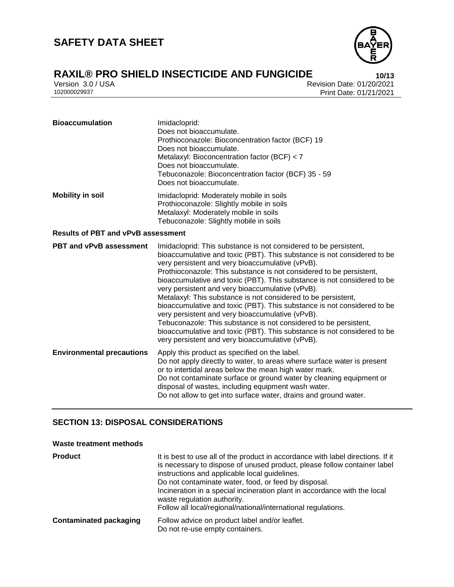

Version 3.0 / USA Revision Date: 01/20/2021<br>102000029937 Print Date: 01/21/2021 Print Date: 01/21/2021

| <b>Bioaccumulation</b>                    | Imidacloprid:<br>Does not bioaccumulate.<br>Prothioconazole: Bioconcentration factor (BCF) 19<br>Does not bioaccumulate.<br>Metalaxyl: Bioconcentration factor (BCF) < 7<br>Does not bioaccumulate.<br>Tebuconazole: Bioconcentration factor (BCF) 35 - 59<br>Does not bioaccumulate.                                                                                                                                                                                                                                                                                                                                                                                                                                                                                                                    |  |  |
|-------------------------------------------|----------------------------------------------------------------------------------------------------------------------------------------------------------------------------------------------------------------------------------------------------------------------------------------------------------------------------------------------------------------------------------------------------------------------------------------------------------------------------------------------------------------------------------------------------------------------------------------------------------------------------------------------------------------------------------------------------------------------------------------------------------------------------------------------------------|--|--|
| <b>Mobility in soil</b>                   | Imidacloprid: Moderately mobile in soils<br>Prothioconazole: Slightly mobile in soils<br>Metalaxyl: Moderately mobile in soils<br>Tebuconazole: Slightly mobile in soils                                                                                                                                                                                                                                                                                                                                                                                                                                                                                                                                                                                                                                 |  |  |
| <b>Results of PBT and vPvB assessment</b> |                                                                                                                                                                                                                                                                                                                                                                                                                                                                                                                                                                                                                                                                                                                                                                                                          |  |  |
| <b>PBT and vPvB assessment</b>            | Imidacloprid: This substance is not considered to be persistent,<br>bioaccumulative and toxic (PBT). This substance is not considered to be<br>very persistent and very bioaccumulative (vPvB).<br>Prothioconazole: This substance is not considered to be persistent,<br>bioaccumulative and toxic (PBT). This substance is not considered to be<br>very persistent and very bioaccumulative (vPvB).<br>Metalaxyl: This substance is not considered to be persistent,<br>bioaccumulative and toxic (PBT). This substance is not considered to be<br>very persistent and very bioaccumulative (vPvB).<br>Tebuconazole: This substance is not considered to be persistent,<br>bioaccumulative and toxic (PBT). This substance is not considered to be<br>very persistent and very bioaccumulative (vPvB). |  |  |
| <b>Environmental precautions</b>          | Apply this product as specified on the label.<br>Do not apply directly to water, to areas where surface water is present<br>or to intertidal areas below the mean high water mark.<br>Do not contaminate surface or ground water by cleaning equipment or<br>disposal of wastes, including equipment wash water.<br>Do not allow to get into surface water, drains and ground water.                                                                                                                                                                                                                                                                                                                                                                                                                     |  |  |

# **SECTION 13: DISPOSAL CONSIDERATIONS**

#### **Waste treatment methods**

| <b>Product</b>                | It is best to use all of the product in accordance with label directions. If it<br>is necessary to dispose of unused product, please follow container label<br>instructions and applicable local guidelines.<br>Do not contaminate water, food, or feed by disposal.<br>Incineration in a special incineration plant in accordance with the local<br>waste regulation authority.<br>Follow all local/regional/national/international regulations. |
|-------------------------------|---------------------------------------------------------------------------------------------------------------------------------------------------------------------------------------------------------------------------------------------------------------------------------------------------------------------------------------------------------------------------------------------------------------------------------------------------|
| <b>Contaminated packaging</b> | Follow advice on product label and/or leaflet.<br>Do not re-use empty containers.                                                                                                                                                                                                                                                                                                                                                                 |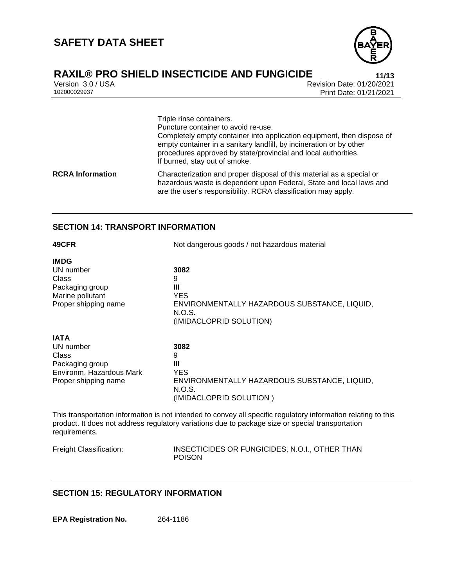

# **RAXIL® PRO SHIELD INSECTICIDE AND FUNGICIDE 11/13**

Version 3.0 / USA Revision Date: 01/20/2021<br>102000029937 Print Date: 01/21/2021 Print Date: 01/21/2021

Triple rinse containers. Puncture container to avoid re-use. Completely empty container into application equipment, then dispose of empty container in a sanitary landfill, by incineration or by other procedures approved by state/provincial and local authorities. If burned, stay out of smoke. **RCRA Information** Characterization and proper disposal of this material as a special or hazardous waste is dependent upon Federal, State and local laws and are the user's responsibility. RCRA classification may apply.

### **SECTION 14: TRANSPORT INFORMATION**

| 49CFR                                                                                                    | Not dangerous goods / not hazardous material                                                                      |  |  |
|----------------------------------------------------------------------------------------------------------|-------------------------------------------------------------------------------------------------------------------|--|--|
| <b>IMDG</b><br>UN number<br>Class<br>Packaging group<br>Marine pollutant<br>Proper shipping name         | 3082<br>9<br>Ш<br><b>YES</b><br>ENVIRONMENTALLY HAZARDOUS SUBSTANCE, LIQUID,<br>N.O.S.<br>(IMIDACLOPRID SOLUTION) |  |  |
| <b>IATA</b><br>UN number<br>Class<br>Packaging group<br>Environm. Hazardous Mark<br>Proper shipping name | 3082<br>9<br>Ш<br><b>YES</b><br>ENVIRONMENTALLY HAZARDOUS SUBSTANCE, LIQUID,<br>N.O.S.<br>(IMIDACLOPRID SOLUTION) |  |  |

This transportation information is not intended to convey all specific regulatory information relating to this product. It does not address regulatory variations due to package size or special transportation requirements.

Freight Classification: INSECTICIDES OR FUNGICIDES, N.O.I., OTHER THAN POISON

# **SECTION 15: REGULATORY INFORMATION**

**EPA Registration No.** 264-1186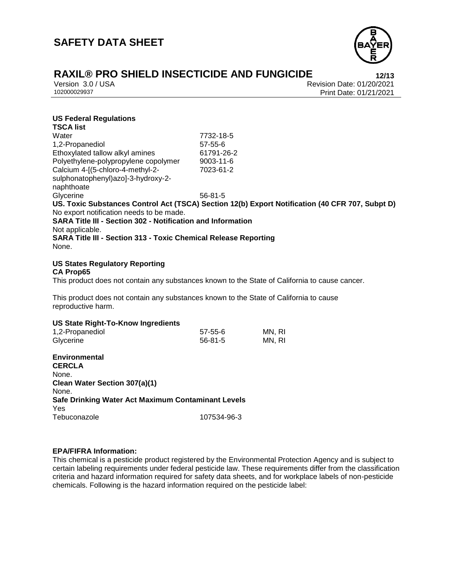

Version 3.0 / USA Revision Date: 01/20/2021<br>102000029937 Print Date: 01/21/2021 Print Date: 01/21/2021

### **US Federal Regulations**

| <b>TSCA list</b>                                                                                |               |        |
|-------------------------------------------------------------------------------------------------|---------------|--------|
| Water                                                                                           | 7732-18-5     |        |
| 1,2-Propanediol                                                                                 | $57 - 55 - 6$ |        |
| Ethoxylated tallow alkyl amines                                                                 | 61791-26-2    |        |
| Polyethylene-polypropylene copolymer                                                            | 9003-11-6     |        |
| Calcium 4-[(5-chloro-4-methyl-2-                                                                | 7023-61-2     |        |
| sulphonatophenyl)azo]-3-hydroxy-2-                                                              |               |        |
| naphthoate                                                                                      |               |        |
| Glycerine                                                                                       | $56 - 81 - 5$ |        |
| US. Toxic Substances Control Act (TSCA) Section 12(b) Export Notification (40 CFR 707, Subpt D) |               |        |
| No export notification needs to be made.                                                        |               |        |
| <b>SARA Title III - Section 302 - Notification and Information</b>                              |               |        |
| Not applicable.                                                                                 |               |        |
| <b>SARA Title III - Section 313 - Toxic Chemical Release Reporting</b>                          |               |        |
| None.                                                                                           |               |        |
|                                                                                                 |               |        |
| <b>US States Regulatory Reporting</b>                                                           |               |        |
| <b>CA Prop65</b>                                                                                |               |        |
| This product does not contain any substances known to the State of California to cause cancer.  |               |        |
|                                                                                                 |               |        |
| This product does not contain any substances known to the State of California to cause          |               |        |
| reproductive harm.                                                                              |               |        |
|                                                                                                 |               |        |
| <b>US State Right-To-Know Ingredients</b>                                                       |               |        |
| 1,2-Propanediol                                                                                 | $57 - 55 - 6$ | MN, RI |
| Glycerine                                                                                       | $56 - 81 - 5$ | MN, RI |
|                                                                                                 |               |        |
| <b>Environmental</b>                                                                            |               |        |
| <b>CERCLA</b>                                                                                   |               |        |
| None.                                                                                           |               |        |
| Clean Water Section 307(a)(1)                                                                   |               |        |
| None.                                                                                           |               |        |
| Safe Drinking Water Act Maximum Contaminant Levels                                              |               |        |
| Yes                                                                                             |               |        |
| Tebuconazole                                                                                    | 107534-96-3   |        |
|                                                                                                 |               |        |

#### **EPA/FIFRA Information:**

This chemical is a pesticide product registered by the Environmental Protection Agency and is subject to certain labeling requirements under federal pesticide law. These requirements differ from the classification criteria and hazard information required for safety data sheets, and for workplace labels of non-pesticide chemicals. Following is the hazard information required on the pesticide label: